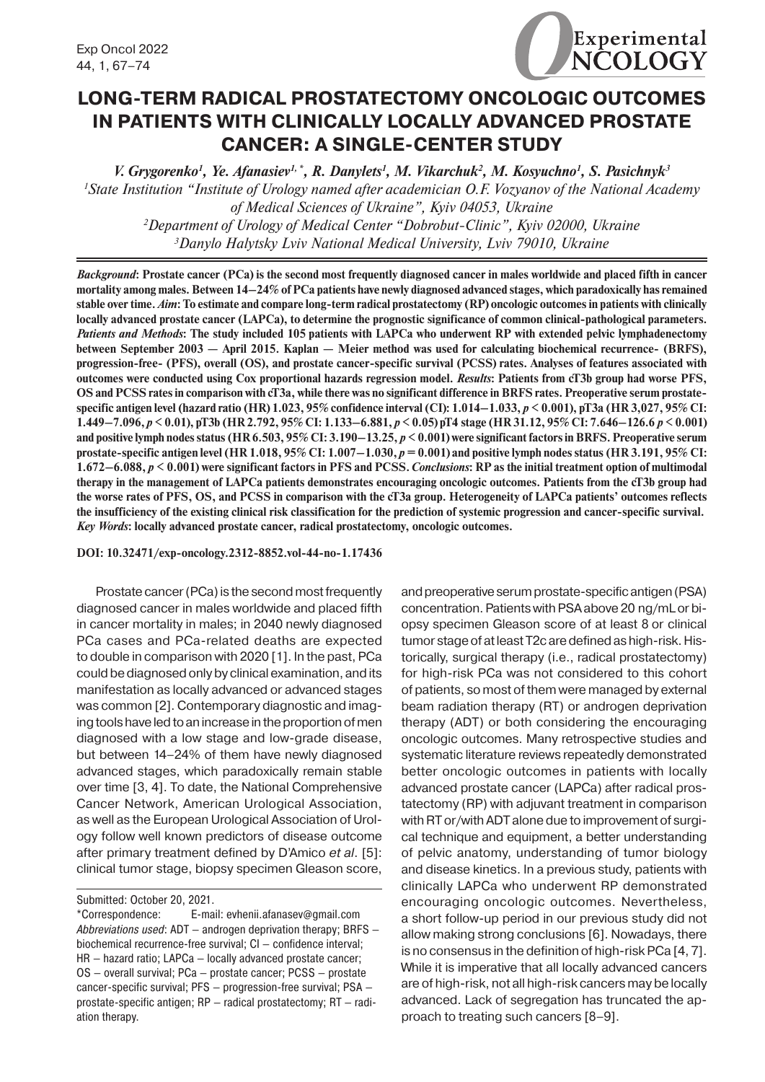

# **LONG-TERM RADICAL PROSTATECTOMY ONCOLOGIC OUTCOMES IN PATIENTS WITH CLINICALLY LOCALLY ADVANCED PROSTATE CANCER: A SINGLE-CENTER STUDY**

*V. Grygorenko1 , Ye. Afanasiev1, \*, R. Danylets1 , M. Vikarchuk2 , M. Kosyuchno1 , S. Pasichnyk3 1 State Institution "Institute of Urology named after academician O.F. Vozyanov of the National Academy of Medical Sciences of Ukraine", Kyiv 04053, Ukraine 2 Department of Urology of Medical Center "Dobrobut-Clinic", Kyiv 02000, Ukraine 3 Danylo Halytsky Lviv National Medical University, Lviv 79010, Ukraine*

*Background***: Prostate cancer (PCa) is the second most frequently diagnosed cancer in males worldwide and placed fifth in cancer mortality among males. Between 14–24% of PCa patients have newly diagnosed advanced stages, which paradoxically has remained stable over time.** *Aim***: To estimate and compare long-term radical prostatectomy (RP) oncologic outcomes in patients with clinically locally advanced prostate cancer (LAPCa), to determine the prognostic significance of common clinical-pathological parameters.**  *Patients and Methods***: The study included 105 patients with LAPCa who underwent RP with extended pelvic lymphadenectomy between September 2003 — April 2015. Kaplan — Meier method was used for calculating biochemical recurrence- (BRFS), progression-free- (PFS), overall (OS), and prostate cancer-specific survival (PCSS) rates. Analyses of features associated with outcomes were conducted using Cox proportional hazards regression model.** *Results***: Patients from cT3b group had worse PFS, OS and PCSS rates in comparison with cT3a, while there was no significant difference in BRFS rates. Preoperative serum prostatespecific antigen level (hazard ratio (HR) 1.023, 95% confidence interval (CI): 1.014–1.033,** *p* **< 0.001), pT3a (HR 3,027, 95% CI: 1.449–7.096,** *p* **< 0.01), pT3b (HR 2.792, 95% CI: 1.133–6.881,** *p* **< 0.05) pT4 stage (HR 31.12, 95% CI: 7.646–126.6** *p***< 0.001) and positive lymph nodes status (HR 6.503, 95% CI: 3.190–13.25,** *p* **< 0.001) were significant factors in BRFS. Preoperative serum prostate-specific antigen level (HR 1.018, 95% CI: 1.007–1.030,** *p* **= 0.001) and positive lymph nodes status (HR 3.191, 95% CI: 1.672–6.088,** *p* **< 0.001) were significant factors in PFS and PCSS.** *Conclusions***: RP as the initial treatment option of multimodal therapy in the management of LAPCa patients demonstrates encouraging oncologic outcomes. Patients from the cT3b group had the worse rates of PFS, OS, and PCSS in comparison with the cT3a group. Heterogeneity of LAPCa patients' outcomes reflects the insufficiency of the existing clinical risk classification for the prediction of systemic progression and cancer-specific survival.** *Key Words***: locally advanced prostate cancer, radical prostatectomy, oncologic outcomes.**

**DOI: 10.32471/exp-oncology.2312-8852.vol-44-no-1.17436**

Prostate cancer (PCa) is the second most frequently diagnosed cancer in males worldwide and placed fifth in cancer mortality in males; in 2040 newly diagnosed PCa cases and PCa-related deaths are expected to double in comparison with 2020 [1]. In the past, PCa could be diagnosed only by clinical examination, and its manifestation as locally advanced or advanced stages was common [2]. Contemporary diagnostic and imaging tools have led to an increase in the proportion of men diagnosed with a low stage and low-grade disease, but between 14–24% of them have newly diagnosed advanced stages, which paradoxically remain stable over time [3, 4]. To date, the National Comprehensive Cancer Network, American Urological Association, as well as the European Urological Association of Urology follow well known predictors of disease outcome after primary treatment defined by D'Amico *et al*. [5]: clinical tumor stage, biopsy specimen Gleason score,

and preoperative serum prostate-specific antigen (PSA) concentration. Patients with PSA above 20 ng/mL or biopsy specimen Gleason score of at least 8 or clinical tumor stage of at least T2c are defined as high-risk. Historically, surgical therapy (i.e., radical prostatectomy) for high-risk PCa was not considered to this cohort of patients, so most of them were managed by external beam radiation therapy (RT) or androgen deprivation therapy (ADT) or both considering the encouraging oncologic outcomes. Many retrospective studies and systematic literature reviews repeatedly demonstrated better oncologic outcomes in patients with locally advanced prostate cancer (LAPCa) after radical prostatectomy (RP) with adjuvant treatment in comparison with RT or/with ADT alone due to improvement of surgical technique and equipment, a better understanding of pelvic anatomy, understanding of tumor biology and disease kinetics. In a previous study, patients with clinically LAPCa who underwent RP demonstrated encouraging oncologic outcomes. Nevertheless, a short follow-up period in our previous study did not allow making strong conclusions [6]. Nowadays, there is no consensus in the definition of high-risk PCa [4, 7]. While it is imperative that all locally advanced cancers are of high-risk, not all high-risk cancers may be locally advanced. Lack of segregation has truncated the approach to treating such cancers [8–9].

Submitted: October 20, 2021.

<sup>\*</sup>Correspondence: E-mail: evhenii.afanasev@gmail.com *Abbreviations used*: ADT — androgen deprivation therapy; BRFS biochemical recurrence-free survival; CI — confidence interval; HR — hazard ratio; LAPCa — locally advanced prostate cancer; OS — overall survival; PCa — prostate cancer; PCSS — prostate cancer-specific survival; PFS — progression-free survival; PSA prostate-specific antigen; RP — radical prostatectomy; RT — radiation therapy.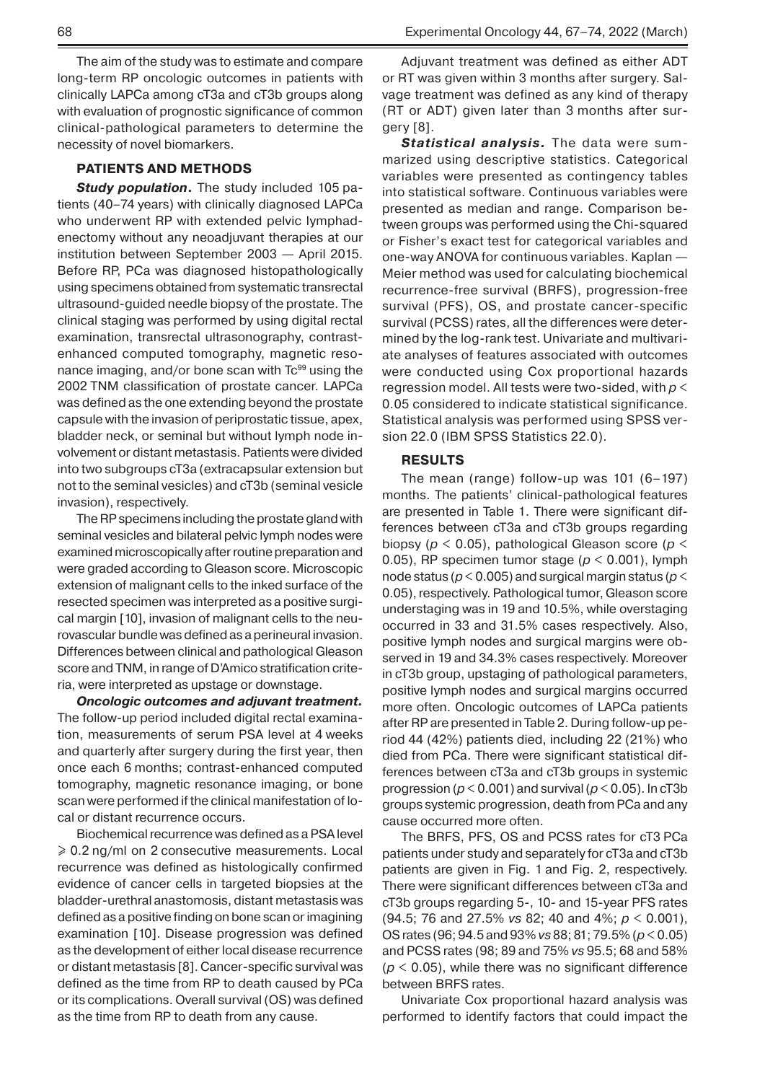The aim of the study was to estimate and compare long-term RP oncologic outcomes in patients with clinically LAPCa among cT3a and cT3b groups along with evaluation of prognostic significance of common clinical-pathological parameters to determine the necessity of novel biomarkers.

#### **PATIENTS AND METHODS**

**Study population.** The study included 105 patients (40–74 years) with clinically diagnosed LAPCa who underwent RP with extended pelvic lymphadenectomy without any neoadjuvant therapies at our institution between September 2003 — April 2015. Before RP, PCa was diagnosed histopathologically using specimens obtained from systematic transrectal ultrasound-guided needle biopsy of the prostate. The clinical staging was performed by using digital rectal examination, transrectal ultrasonography, contrastenhanced computed tomography, magnetic resonance imaging, and/or bone scan with  $Tc<sup>99</sup>$  using the 2002 TNM classification of prostate cancer. LAPCa was defined as the one extending beyond the prostate capsule with the invasion of periprostatic tissue, apex, bladder neck, or seminal but without lymph node involvement or distant metastasis. Patients were divided into two subgroups cT3a (extracapsular extension but not to the seminal vesicles) and cT3b (seminal vesicle invasion), respectively.

The RP specimens including the prostate gland with seminal vesicles and bilateral pelvic lymph nodes were examined microscopically after routine preparation and were graded according to Gleason score. Microscopic extension of malignant cells to the inked surface of the resected specimen was interpreted as a positive surgical margin [10], invasion of malignant cells to the neurovascular bundle was defined as a perineural invasion. Differences between clinical and pathological Gleason score and TNM, in range of D'Amico stratification criteria, were interpreted as upstage or downstage.

*Oncologic outcomes and adjuvant treatment.*  The follow-up period included digital rectal examination, measurements of serum PSA level at 4 weeks and quarterly after surgery during the first year, then once each 6 months; contrast-enhanced computed tomography, magnetic resonance imaging, or bone scan were performed if the clinical manifestation of local or distant recurrence occurs.

Biochemical recurrence was defined as a PSA level ≥ 0.2 ng/ml on 2 consecutive measurements. Local recurrence was defined as histologically confirmed evidence of cancer cells in targeted biopsies at the bladder-urethral anastomosis, distant metastasis was defined as a positive finding on bone scan or imagining examination [10]. Disease progression was defined as the development of either local disease recurrence or distant metastasis [8]. Cancer-specific survival was defined as the time from RP to death caused by PCa or its complications. Overall survival (OS) was defined as the time from RP to death from any cause.

Adjuvant treatment was defined as either ADT or RT was given within 3 months after surgery. Salvage treatment was defined as any kind of therapy (RT or ADT) given later than 3 months after surgery [8].

*Statistical analysis.* The data were summarized using descriptive statistics. Categorical variables were presented as contingency tables into statistical software. Continuous variables were presented as median and range. Comparison between groups was performed using the Chi-squared or Fisher's exact test for categorical variables and one-way ANOVA for continuous variables. Kaplan — Meier method was used for calculating biochemical recurrence-free survival (BRFS), progression-free survival (PFS), OS, and prostate cancer-specific survival (PCSS) rates, all the differences were determined by the log-rank test. Univariate and multivariate analyses of features associated with outcomes were conducted using Cox proportional hazards regression model. All tests were two-sided, with *p* < 0.05 considered to indicate statistical significance. Statistical analysis was performed using SPSS version 22.0 (IBM SPSS Statistics 22.0).

#### **RESULTS**

The mean (range) follow-up was 101 (6–197) months. The patients' clinical-pathological features are presented in Table 1. There were significant differences between cT3a and cT3b groups regarding biopsy (*p* < 0.05), pathological Gleason score (*p* < 0.05), RP specimen tumor stage (*p* < 0.001), lymph node status (*p* < 0.005) and surgical margin status (*p* < 0.05), respectively. Pathological tumor, Gleason score understaging was in 19 and 10.5%, while overstaging occurred in 33 and 31.5% cases respectively. Also, positive lymph nodes and surgical margins were observed in 19 and 34.3% cases respectively. Moreover in cT3b group, upstaging of pathological parameters, positive lymph nodes and surgical margins occurred more often. Oncologic outcomes of LAPCa patients after RP are presented in Table 2. During follow-up period 44 (42%) patients died, including 22 (21%) who died from PCa. There were significant statistical differences between cT3a and cT3b groups in systemic progression (*p* < 0.001) and survival (*p* < 0.05). In cT3b groups systemic progression, death from PCa and any cause occurred more often.

The BRFS, PFS, OS and PCSS rates for cT3 PCa patients under study and separately for cT3a and cT3b patients are given in Fig. 1 and Fig. 2, respectively. There were significant differences between cT3a and cT3b groups regarding 5-, 10- and 15-year PFS rates (94.5; 76 and 27.5% *vs* 82; 40 and 4%; *p* < 0.001), OS rates (96; 94.5 and 93% *vs* 88; 81; 79.5% (*p* < 0.05) and PCSS rates (98; 89 and 75% *vs* 95.5; 68 and 58%  $(p < 0.05)$ , while there was no significant difference between BRFS rates.

Univariate Cox proportional hazard analysis was performed to identify factors that could impact the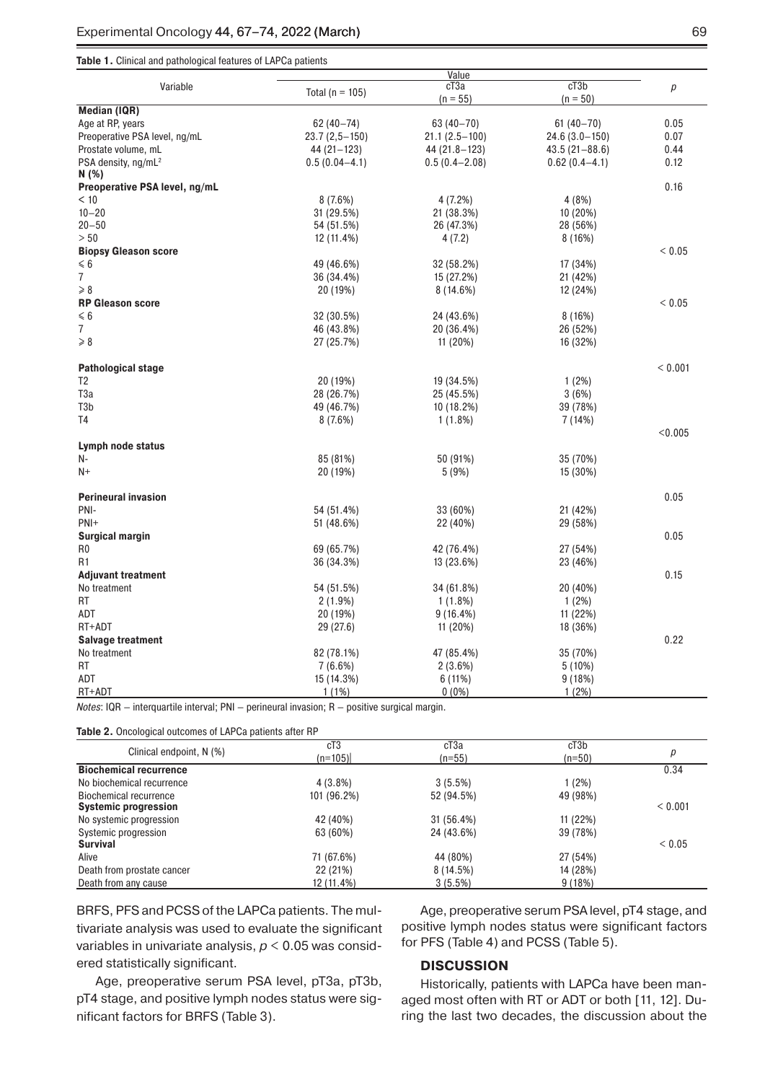#### **Table 1.** Clinical and pathological features of LAPCa patients

|                                 | Value               |                   |                   |            |  |
|---------------------------------|---------------------|-------------------|-------------------|------------|--|
| Variable                        | Total ( $n = 105$ ) | cT <sub>3</sub> a | cT3b              | p          |  |
|                                 |                     | $(n = 55)$        | $(n = 50)$        |            |  |
| <b>Median (IQR)</b>             |                     |                   |                   |            |  |
| Age at RP, years                | $62(40 - 74)$       | 63 (40-70)        | $61(40 - 70)$     | 0.05       |  |
| Preoperative PSA level, ng/mL   | $23.7(2,5-150)$     | $21.1(2.5-100)$   | $24.6(3.0-150)$   | 0.07       |  |
| Prostate volume, mL             | 44 (21 – 123)       | 44 (21.8-123)     | $43.5(21 - 88.6)$ | 0.44       |  |
| PSA density, ng/mL <sup>2</sup> | $0.5(0.04 - 4.1)$   | $0.5(0.4 - 2.08)$ | $0.62(0.4 - 4.1)$ | 0.12       |  |
| N (%)                           |                     |                   |                   |            |  |
| Preoperative PSA level, ng/mL   |                     |                   |                   | 0.16       |  |
| < 10                            | 8(7.6%)             | 4 (7.2%)          | 4 (8%)            |            |  |
| $10 - 20$                       | 31 (29.5%)          | 21 (38.3%)        | 10 (20%)          |            |  |
| $20 - 50$                       | 54 (51.5%)          | 26 (47.3%)        | 28 (56%)          |            |  |
| > 50                            | 12 (11.4%)          | 4 (7.2)           | 8(16%)            |            |  |
| <b>Biopsy Gleason score</b>     |                     |                   |                   | ${}< 0.05$ |  |
| $\leq 6$                        | 49 (46.6%)          | 32 (58.2%)        | 17 (34%)          |            |  |
| 7                               | 36 (34.4%)          | 15 (27.2%)        | 21 (42%)          |            |  |
| $\geqslant 8$                   | 20 (19%)            | 8(14.6%)          | 12 (24%)          |            |  |
| <b>RP Gleason score</b>         |                     |                   |                   | ${}< 0.05$ |  |
| $\leq 6$                        | 32 (30.5%)          | 24 (43.6%)        | 8(16%)            |            |  |
| 7                               | 46 (43.8%)          | 20 (36.4%)        | 26 (52%)          |            |  |
| $\ge 8$                         | 27 (25.7%)          | 11 (20%)          | 16 (32%)          |            |  |
|                                 |                     |                   |                   |            |  |
| <b>Pathological stage</b>       |                     |                   |                   | < 0.001    |  |
| T <sub>2</sub>                  |                     |                   |                   |            |  |
|                                 | 20 (19%)            | 19 (34.5%)        | 1(2%)             |            |  |
| T <sub>3</sub> a                | 28 (26.7%)          | 25 (45.5%)        | 3(6%)             |            |  |
| T3b                             | 49 (46.7%)          | 10 (18.2%)        | 39 (78%)          |            |  |
| T4                              | 8(7.6%)             | 1(1.8%)           | 7 (14%)           |            |  |
|                                 |                     |                   |                   | < 0.005    |  |
| Lymph node status               |                     |                   |                   |            |  |
| N-                              | 85 (81%)            | 50 (91%)          | 35 (70%)          |            |  |
| $N+$                            | 20 (19%)            | 5(9%)             | 15 (30%)          |            |  |
|                                 |                     |                   |                   |            |  |
| <b>Perineural invasion</b>      |                     |                   |                   | 0.05       |  |
| PNI-                            | 54 (51.4%)          | 33 (60%)          | 21 (42%)          |            |  |
| $PNI+$                          | 51 (48.6%)          | 22 (40%)          | 29 (58%)          |            |  |
| <b>Surgical margin</b>          |                     |                   |                   | 0.05       |  |
| R <sub>0</sub>                  | 69 (65.7%)          | 42 (76.4%)        | 27 (54%)          |            |  |
| R1                              | 36 (34.3%)          | 13 (23.6%)        | 23 (46%)          |            |  |
| <b>Adjuvant treatment</b>       |                     |                   |                   | 0.15       |  |
| No treatment                    | 54 (51.5%)          | 34 (61.8%)        | 20 (40%)          |            |  |
| RT                              | $2(1.9\%)$          | $1(1.8\%)$        | 1(2%)             |            |  |
| ADT                             | 20 (19%)            | $9(16.4\%)$       | 11 (22%)          |            |  |
| RT+ADT                          | 29 (27.6)           | 11 (20%)          | 18 (36%)          |            |  |
| <b>Salvage treatment</b>        |                     |                   |                   | 0.22       |  |
| No treatment                    | 82 (78.1%)          | 47 (85.4%)        | 35 (70%)          |            |  |
| RT                              | 7(6.6%)             | 2(3.6%)           |                   |            |  |
| ADT                             |                     |                   | $5(10\%)$         |            |  |
|                                 | 15 (14.3%)          | 6 (11%)           | 9(18%)            |            |  |
| RT+ADT                          | $1(1\%)$            | $0(0\%)$          | $1(2\%)$          |            |  |

*Notes*: IQR — interquartile interval; PNI — perineural invasion; R — positive surgical margin.

**Table 2.** Oncological outcomes of LAPCa patients after RP

|                               | cT3         | cT <sub>3</sub> a | cT3b     |            |
|-------------------------------|-------------|-------------------|----------|------------|
| Clinical endpoint, N (%)      | $(n=105)$   | $(n=55)$          | $(n=50)$ | р          |
| <b>Biochemical recurrence</b> |             |                   |          | 0.34       |
| No biochemical recurrence     | $4(3.8\%)$  | $3(5.5\%)$        | 1(2%)    |            |
| Biochemical recurrence        | 101 (96.2%) | 52 (94.5%)        | 49 (98%) |            |
| <b>Systemic progression</b>   |             |                   |          | < 0.001    |
| No systemic progression       | 42 (40%)    | 31 (56.4%)        | 11 (22%) |            |
| Systemic progression          | 63 (60%)    | 24 (43.6%)        | 39 (78%) |            |
| <b>Survival</b>               |             |                   |          | ${}< 0.05$ |
| Alive                         | 71 (67.6%)  | 44 (80%)          | 27 (54%) |            |
| Death from prostate cancer    | 22 (21%)    | 8 (14.5%)         | 14 (28%) |            |
| Death from any cause          | 12 (11.4%)  | $3(5.5\%)$        | 9(18%)   |            |

BRFS, PFS and PCSS of the LAPCa patients. The multivariate analysis was used to evaluate the significant variables in univariate analysis, *p* < 0.05 was considered statistically significant.

Age, preoperative serum PSA level, pT3a, pT3b, pT4 stage, and positive lymph nodes status were significant factors for BRFS (Table 3).

Age, preoperative serum PSA level, pT4 stage, and positive lymph nodes status were significant factors for PFS (Table 4) and PCSS (Table 5).

## **DISCUSSION**

Historically, patients with LAPCa have been managed most often with RT or ADT or both [11, 12]. During the last two decades, the discussion about the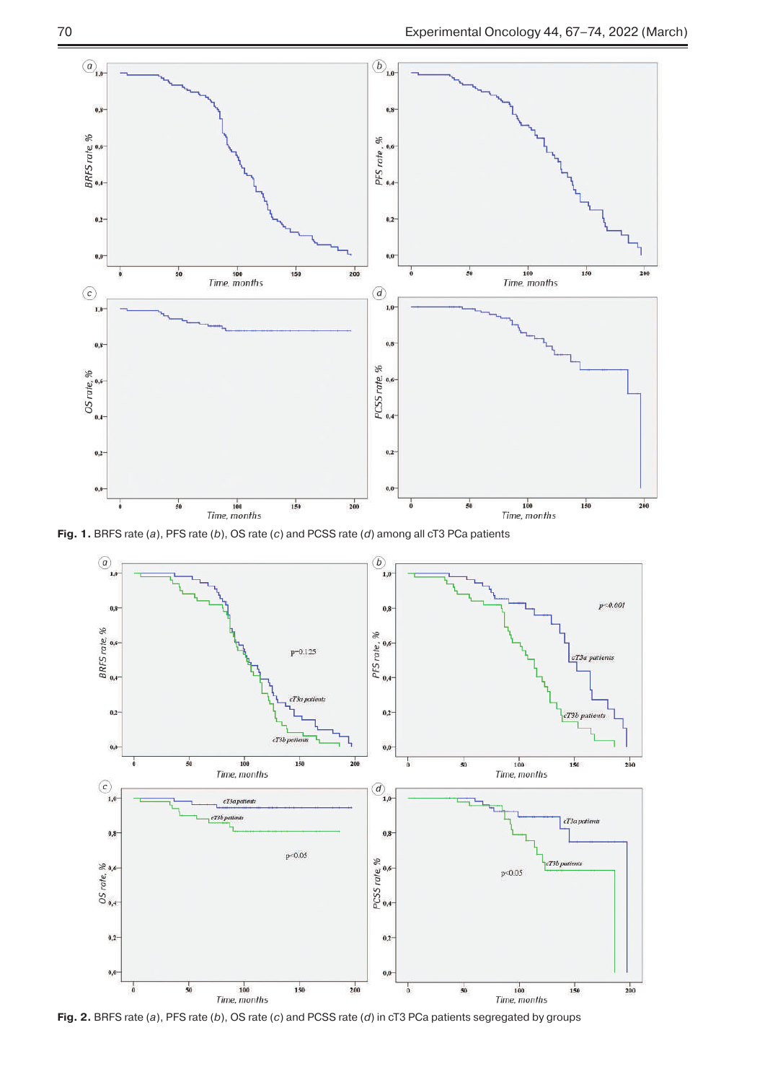

**Fig. 1.** BRFS rate (*a*), PFS rate (*b*), OS rate (*c*) and PCSS rate (*d*) among all cT3 PCa patients



**Fig. 2.** BRFS rate (*a*), PFS rate (*b*), OS rate (*c*) and PCSS rate (*d*) in cT3 PCa patients segregated by groups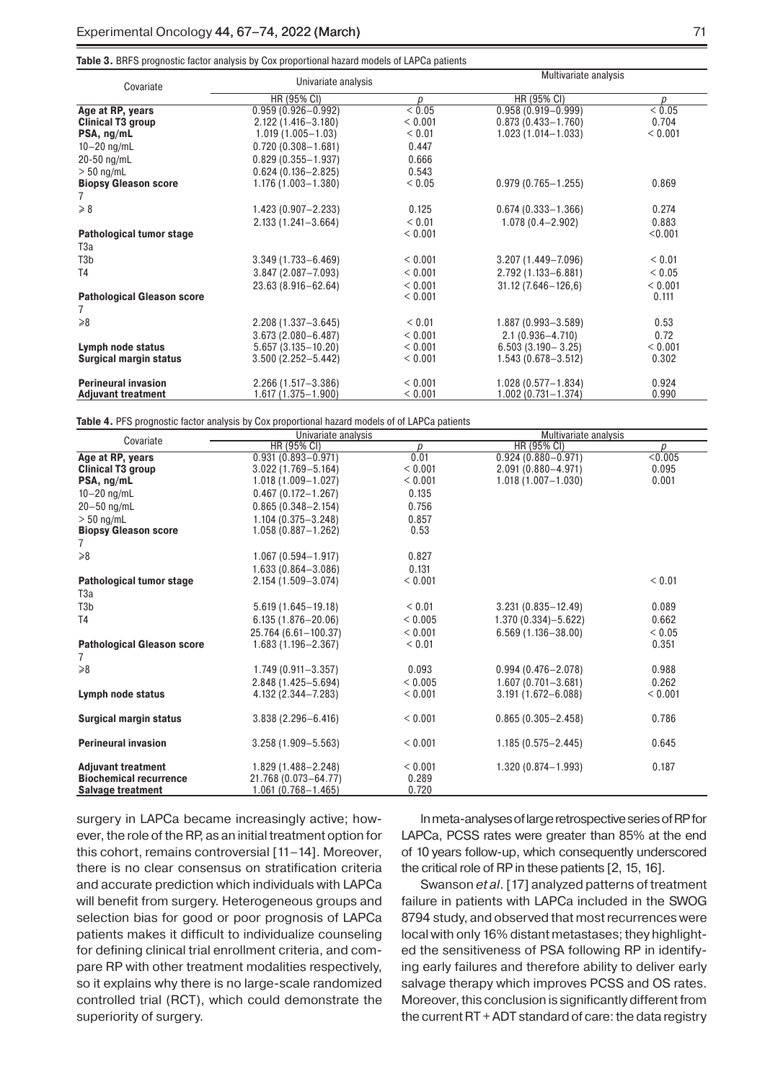**Table 3.** BRFS prognostic factor analysis by Cox proportional hazard models of LAPCa patients

| Covariate                         | Univariate analysis    |            | Multivariate analysis  |            |
|-----------------------------------|------------------------|------------|------------------------|------------|
|                                   | HR (95% CI)            | p          | HR (95% CI)            | p          |
| Age at RP, years                  | $0.959(0.926 - 0.992)$ | < 0.05     | $0.958(0.919 - 0.999)$ | < 0.05     |
| Clinical T3 group                 | 2.122 (1.416-3.180)    | < 0.001    | $0.873(0.433 - 1.760)$ | 0.704      |
| PSA, ng/mL                        | $1.019(1.005 - 1.03)$  | < 0.01     | $1.023(1.014 - 1.033)$ | < 0.001    |
| $10 - 20$ ng/mL                   | $0.720(0.308 - 1.681)$ | 0.447      |                        |            |
| 20-50 ng/mL                       | $0.829(0.355 - 1.937)$ | 0.666      |                        |            |
| $> 50$ ng/mL                      | $0.624(0.136 - 2.825)$ | 0.543      |                        |            |
| <b>Biopsy Gleason score</b>       | 1.176 (1.003-1.380)    | ${}< 0.05$ | $0.979(0.765 - 1.255)$ | 0.869      |
| 7                                 |                        |            |                        |            |
| $\geqslant 8$                     | $1.423(0.907 - 2.233)$ | 0.125      | $0.674(0.333 - 1.366)$ | 0.274      |
|                                   | $2.133(1.241 - 3.664)$ | < 0.01     | $1.078(0.4 - 2.902)$   | 0.883      |
| Pathological tumor stage          |                        | < 0.001    |                        | < 0.001    |
| T3a                               |                        |            |                        |            |
| T <sub>3</sub> b                  | $3.349(1.733 - 6.469)$ | < 0.001    | $3.207(1.449 - 7.096)$ | < 0.01     |
| T <sub>4</sub>                    | 3.847 (2.087-7.093)    | < 0.001    | 2.792 (1.133-6.881)    | ${}< 0.05$ |
|                                   | 23.63 (8.916-62.64)    | < 0.001    | $31.12(7.646 - 126.6)$ | < 0.001    |
| <b>Pathological Gleason score</b> |                        | < 0.001    |                        | 0.111      |
| 7                                 |                        |            |                        |            |
| $\geq 8$                          | $2.208(1.337 - 3.645)$ | < 0.01     | $1.887(0.993 - 3.589)$ | 0.53       |
|                                   | $3.673(2.080 - 6.487)$ | < 0.001    | $2.1(0.936 - 4.710)$   | 0.72       |
| Lymph node status                 | $5.657(3.135 - 10.20)$ | < 0.001    | $6.503(3.190 - 3.25)$  | < 0.001    |
| <b>Surgical margin status</b>     | $3.500(2.252 - 5.442)$ | < 0.001    | $1.543(0.678 - 3.512)$ | 0.302      |
|                                   |                        |            |                        |            |
| <b>Perineural invasion</b>        | $2.266(1.517 - 3.386)$ | < 0.001    | $1.028(0.577 - 1.834)$ | 0.924      |
| <b>Adjuvant treatment</b>         | $1.617(1.375 - 1.900)$ | < 0.001    | $1.002(0.731 - 1.374)$ | 0.990      |

**Table 4.** PFS prognostic factor analysis by Cox proportional hazard models of of LAPCa patients

| Covariate                         | Univariate analysis    |         | Multivariate analysis  |                  |
|-----------------------------------|------------------------|---------|------------------------|------------------|
|                                   | HR (95% CI)            | D       | HR (95% CI)            | $\boldsymbol{D}$ |
| Age at RP, years                  | $0.931(0.893 - 0.971)$ | 0.01    | $0.924(0.880 - 0.971)$ | < 0.005          |
| <b>Clinical T3 group</b>          | $3.022(1.769 - 5.164)$ | < 0.001 | 2.091 (0.880-4.971)    | 0.095            |
| PSA, ng/mL                        | $1.018(1.009 - 1.027)$ | < 0.001 | $1.018(1.007 - 1.030)$ | 0.001            |
| $10 - 20$ ng/mL                   | $0.467(0.172 - 1.267)$ | 0.135   |                        |                  |
| $20 - 50$ ng/mL                   | $0.865(0.348 - 2.154)$ | 0.756   |                        |                  |
| $> 50$ ng/mL                      | 1.104 (0.375-3.248)    | 0.857   |                        |                  |
| <b>Biopsy Gleason score</b>       | $1.058(0.887 - 1.262)$ | 0.53    |                        |                  |
| 7                                 |                        |         |                        |                  |
| $\ge 8$                           | $1.067(0.594 - 1.917)$ | 0.827   |                        |                  |
|                                   | $1.633(0.864 - 3.086)$ | 0.131   |                        |                  |
| Pathological tumor stage          | 2.154 (1.509-3.074)    | < 0.001 |                        | < 0.01           |
| T3a                               |                        |         |                        |                  |
| T <sub>3</sub> b                  | $5.619(1.645 - 19.18)$ | < 0.01  | $3.231(0.835 - 12.49)$ | 0.089            |
| T <sub>4</sub>                    | $6.135(1.876 - 20.06)$ | < 0.005 | $1.370(0.334) - 5.622$ | 0.662            |
|                                   | 25.764 (6.61-100.37)   | < 0.001 | $6.569(1.136 - 38.00)$ | ${}< 0.05$       |
| <b>Pathological Gleason score</b> | $1.683(1.196 - 2.367)$ | < 0.01  |                        | 0.351            |
| 7                                 |                        |         |                        |                  |
| $\ge 8$                           | $1.749(0.911 - 3.357)$ | 0.093   | $0.994(0.476 - 2.078)$ | 0.988            |
|                                   | 2.848 (1.425-5.694)    | < 0.005 | $1.607(0.701 - 3.681)$ | 0.262            |
| Lymph node status                 | 4.132 (2.344-7.283)    | < 0.001 | $3.191(1.672 - 6.088)$ | < 0.001          |
| <b>Surgical margin status</b>     | $3.838(2.296 - 6.416)$ | < 0.001 | $0.865(0.305 - 2.458)$ | 0.786            |
|                                   |                        |         |                        |                  |
| <b>Perineural invasion</b>        | $3.258(1.909 - 5.563)$ | < 0.001 | $1.185(0.575 - 2.445)$ | 0.645            |
| <b>Adjuvant treatment</b>         | 1.829 (1.488-2.248)    | < 0.001 | 1.320 (0.874-1.993)    | 0.187            |
| <b>Biochemical recurrence</b>     | 21.768 (0.073-64.77)   | 0.289   |                        |                  |
| <b>Salvage treatment</b>          | $1.061(0.768 - 1.465)$ | 0.720   |                        |                  |

surgery in LAPCa became increasingly active; however, the role of the RP, as an initial treatment option for this cohort, remains controversial [11–14]. Moreover, there is no clear consensus on stratification criteria and accurate prediction which individuals with LAPCa will benefit from surgery. Heterogeneous groups and selection bias for good or poor prognosis of LAPCa patients makes it difficult to individualize counseling for defining clinical trial enrollment criteria, and compare RP with other treatment modalities respectively, so it explains why there is no large-scale randomized controlled trial (RCT), which could demonstrate the superiority of surgery.

In meta-analyses of large retrospective series of RP for LAPCa, PCSS rates were greater than 85% at the end of 10 years follow-up, which consequently underscored the critical role of RP in these patients [2, 15, 16].

Swanson *et al.* [17] analyzed patterns of treatment failure in patients with LAPCa included in the SWOG 8794 study, and observed that most recurrences were local with only 16% distant metastases; they highlighted the sensitiveness of PSA following RP in identifying early failures and therefore ability to deliver early salvage therapy which improves PCSS and OS rates. Moreover, this conclusion is significantly different from the current RT + ADT standard of care: the data registry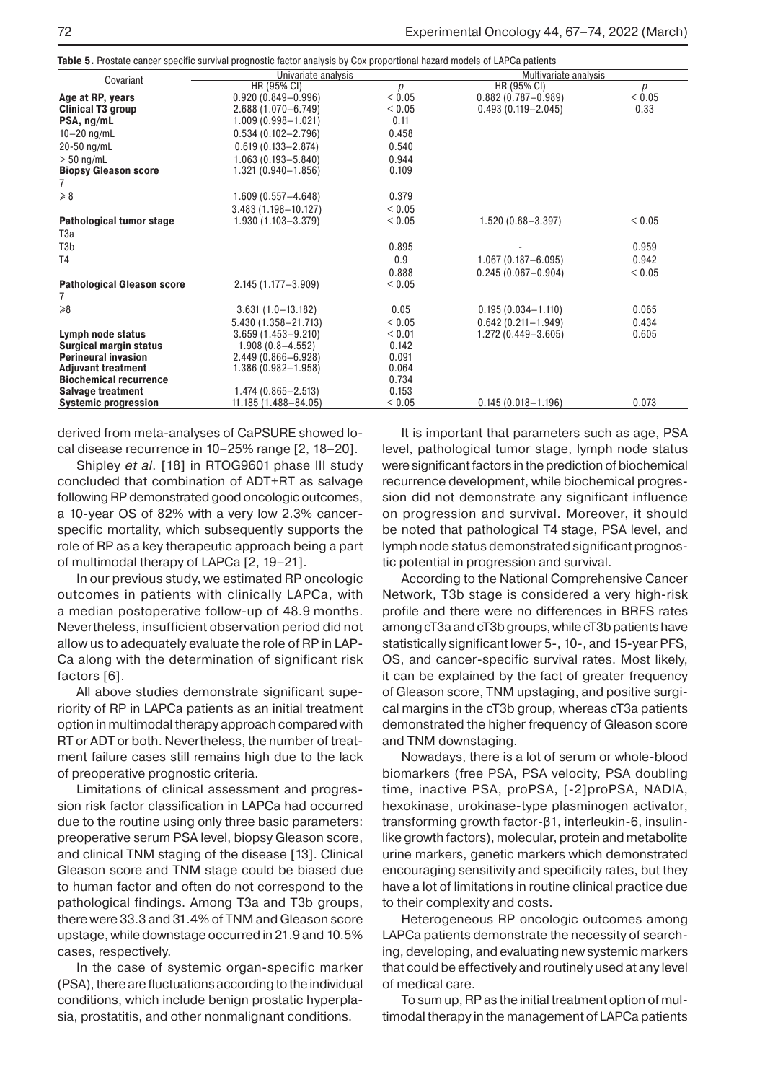**Table 5.** Prostate cancer specific survival prognostic factor analysis by Cox proportional hazard models of LAPCa patients

| Covariant                         | Univariate analysis     |                  |                        | Multivariate analysis |  |
|-----------------------------------|-------------------------|------------------|------------------------|-----------------------|--|
|                                   | HR (95% CI)             | $\boldsymbol{D}$ | HR (95% CI)            | p                     |  |
| Age at RP, years                  | $0.920(0.849 - 0.996)$  | ${}< 0.05$       | $0.882(0.787 - 0.989)$ | < 0.05                |  |
| Clinical T3 group                 | 2.688 (1.070-6.749)     | < 0.05           | $0.493(0.119 - 2.045)$ | 0.33                  |  |
| PSA, ng/mL                        | $1.009(0.998 - 1.021)$  | 0.11             |                        |                       |  |
| $10 - 20$ ng/mL                   | $0.534(0.102 - 2.796)$  | 0.458            |                        |                       |  |
| 20-50 ng/mL                       | $0.619(0.133 - 2.874)$  | 0.540            |                        |                       |  |
| $> 50$ ng/mL                      | $1.063(0.193 - 5.840)$  | 0.944            |                        |                       |  |
| <b>Biopsy Gleason score</b>       | $1.321(0.940 - 1.856)$  | 0.109            |                        |                       |  |
| 7                                 |                         |                  |                        |                       |  |
| $\geqslant 8$                     | $1.609(0.557 - 4.648)$  | 0.379            |                        |                       |  |
|                                   | $3.483(1.198 - 10.127)$ | ${}_{0.05}$      |                        |                       |  |
| Pathological tumor stage          | 1.930 (1.103-3.379)     | < 0.05           | 1.520 (0.68-3.397)     | < 0.05                |  |
| T3a                               |                         |                  |                        |                       |  |
| T3b                               |                         | 0.895            |                        | 0.959                 |  |
| T <sub>4</sub>                    |                         | 0.9              | $1.067(0.187 - 6.095)$ | 0.942                 |  |
|                                   |                         | 0.888            | $0.245(0.067 - 0.904)$ | < 0.05                |  |
| <b>Pathological Gleason score</b> | $2.145(1.177 - 3.909)$  | < 0.05           |                        |                       |  |
| 7                                 |                         |                  |                        |                       |  |
| $\geq 8$                          | $3.631(1.0-13.182)$     | 0.05             | $0.195(0.034 - 1.110)$ | 0.065                 |  |
|                                   | 5.430 (1.358-21.713)    | < 0.05           | $0.642(0.211 - 1.949)$ | 0.434                 |  |
| Lymph node status                 | $3.659(1.453 - 9.210)$  | < 0.01           | $1.272(0.449 - 3.605)$ | 0.605                 |  |
| Surgical margin status            | $1.908(0.8 - 4.552)$    | 0.142            |                        |                       |  |
| <b>Perineural invasion</b>        | $2.449(0.866 - 6.928)$  | 0.091            |                        |                       |  |
| <b>Adjuvant treatment</b>         | $1.386(0.982 - 1.958)$  | 0.064            |                        |                       |  |
| <b>Biochemical recurrence</b>     |                         | 0.734            |                        |                       |  |
| <b>Salvage treatment</b>          | $1.474(0.865 - 2.513)$  | 0.153            |                        |                       |  |
| <b>Systemic progression</b>       | 11.185 (1.488-84.05)    | < 0.05           | $0.145(0.018 - 1.196)$ | 0.073                 |  |

derived from meta-analyses of CaPSURE showed local disease recurrence in 10–25% range [2, 18–20].

Shipley *et al*. [18] in RTOG9601 phase III study concluded that combination of ADT+RT as salvage following RP demonstrated good oncologic outcomes, a 10-year OS of 82% with a very low 2.3% cancerspecific mortality, which subsequently supports the role of RP as a key therapeutic approach being a part of multimodal therapy of LAPCa [2, 19–21].

In our previous study, we estimated RP oncologic outcomes in patients with clinically LAPCa, with a median postoperative follow-up of 48.9 months. Nevertheless, insufficient observation period did not allow us to adequately evaluate the role of RP in LAP-Ca along with the determination of significant risk factors [6].

All above studies demonstrate significant superiority of RP in LAPCa patients as an initial treatment option in multimodal therapy approach compared with RT or ADT or both. Nevertheless, the number of treatment failure cases still remains high due to the lack of preoperative prognostic criteria.

Limitations of clinical assessment and progression risk factor classification in LAPCa had occurred due to the routine using only three basic parameters: preoperative serum PSA level, biopsy Gleason score, and clinical TNM staging of the disease [13]. Clinical Gleason score and TNM stage could be biased due to human factor and often do not correspond to the pathological findings. Among T3a and T3b groups, there were 33.3 and 31.4% of TNM and Gleason score upstage, while downstage occurred in 21.9 and 10.5% cases, respectively.

In the case of systemic organ-specific marker (PSA), there are fluctuations according to the individual conditions, which include benign prostatic hyperplasia, prostatitis, and other nonmalignant conditions.

It is important that parameters such as age, PSA level, pathological tumor stage, lymph node status were significant factors in the prediction of biochemical recurrence development, while biochemical progression did not demonstrate any significant influence on progression and survival. Moreover, it should be noted that pathological T4 stage, PSA level, and lymph node status demonstrated significant prognostic potential in progression and survival.

According to the National Comprehensive Cancer Network, T3b stage is considered a very high-risk profile and there were no differences in BRFS rates among cT3a and cT3b groups, while cT3b patients have statistically significant lower 5-, 10-, and 15-year PFS, OS, and cancer-specific survival rates. Most likely, it can be explained by the fact of greater frequency of Gleason score, TNM upstaging, and positive surgical margins in the cT3b group, whereas cT3a patients demonstrated the higher frequency of Gleason score and TNM downstaging.

Nowadays, there is a lot of serum or whole-blood biomarkers (free PSA, PSA velocity, PSA doubling time, inactive PSA, proPSA, [-2]proPSA, NADIA, hexokinase, urokinase-type plasminogen activator, transforming growth factor-β1, interleukin-6, insulinlike growth factors), molecular, protein and metabolite urine markers, genetic markers which demonstrated encouraging sensitivity and specificity rates, but they have a lot of limitations in routine clinical practice due to their complexity and costs.

Heterogeneous RP oncologic outcomes among LAPCa patients demonstrate the necessity of searching, developing, and evaluating new systemic markers that could be effectively and routinely used at any level of medical care.

To sum up, RP as the initial treatment option of multimodal therapy in the management of LAPCa patients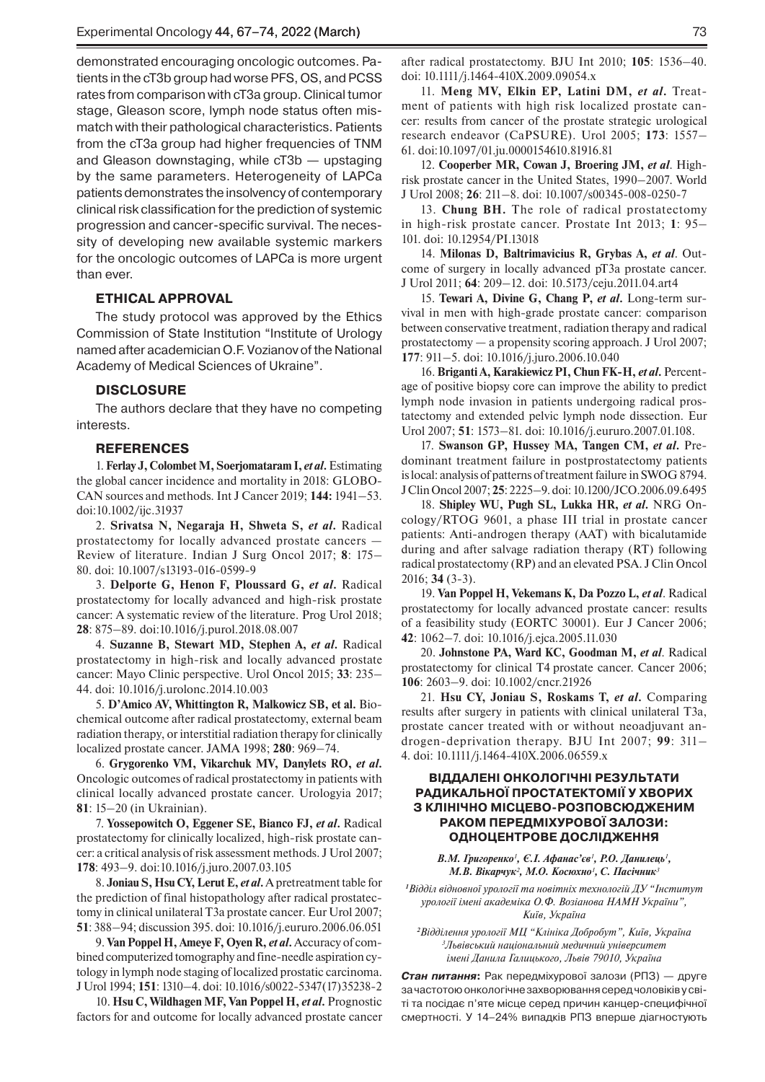demonstrated encouraging oncologic outcomes. Patients in the cT3b group had worse PFS, OS, and PCSS rates from comparison with cT3a group. Clinical tumor stage, Gleason score, lymph node status often mismatch with their pathological characteristics. Patients from the cT3a group had higher frequencies of TNM and Gleason downstaging, while cT3b — upstaging by the same parameters. Heterogeneity of LAPCa patients demonstrates the insolvency of contemporary clinical risk classification for the prediction of systemic progression and cancer-specific survival. The necessity of developing new available systemic markers for the oncologic outcomes of LAPCa is more urgent than ever.

#### **ETHICAL APPROVAL**

The study protocol was approved by the Ethics Commission of State Institution "Institute of Urology named after academician O.F. Vozianov of the National Academy of Medical Sciences of Ukraine".

# **DISCLOSURE**

The authors declare that they have no competing interests.

## **REFERENCES**

1. **Ferlay J, Colombet M, Soerjomataram I,** *et al***.** Estimating the global cancer incidence and mortality in 2018: GLOBO-CAN sources and methods. Int J Cancer 2019; **144:** 1941–53. doi:10.1002/ijc.31937

2. **Srivatsa N, Negaraja H, Shweta S,** *et al***.** Radical prostatectomy for locally advanced prostate cancers — Review of literature. Indian J Surg Oncol 2017; **8**: 175– 80. doi: 10.1007/s13193-016-0599-9

3. **Delporte G, Henon F, Ploussard G,** *et al***.** Radical prostatectomy for locally advanced and high-risk prostate cancer: A systematic review of the literature. Prog Urol 2018; **28**: 875–89. doi:10.1016/j.purol.2018.08.007

4. **Suzanne B, Stewart MD, Stephen A,** *et al***.** Radical prostatectomy in high-risk and locally advanced prostate cancer: Mayo Clinic perspective. Urol Oncol 2015; **33**: 235– 44. doi: 10.1016/j.urolonc.2014.10.003

5. **D'Amico AV, Whittington R, Malkowicz SB, et al.** Biochemical outcome after radical prostatectomy, external beam radiation therapy, or interstitial radiation therapy for clinically localized prostate cancer. JAMA 1998; **280**: 969–74.

6. **Grygorenko VM, Vikarchuk MV, Danylets RO,** *et al***.** Oncologic outcomes of radical prostatectomy in patients with clinical locally advanced prostate cancer. Urologyia 2017; **81**: 15–20 (in Ukrainian).

7. **Yossepowitch O, Eggener SE, Bianco FJ,** *et al***.** Radical prostatectomy for clinically localized, high-risk prostate cancer: a critical analysis of risk assessment methods. J Urol 2007; **178**: 493–9. doi:10.1016/j.juro.2007.03.105

8. **Joniau S, Hsu CY, Lerut E,** *et al***.** A pretreatment table for the prediction of final histopathology after radical prostatectomy in clinical unilateral T3a prostate cancer. Eur Urol 2007; **51**: 388–94; discussion 395. doi: 10.1016/j.eururo.2006.06.051

9. **Van Poppel H, Ameye F, Oyen R,** *et al***.** Accuracy of combined computerized tomography and fine-needle aspiration cytology in lymph node staging of localized prostatic carcinoma. J Urol 1994; **151**: 1310–4. doi: 10.1016/s0022-5347(17)35238-2

10. **Hsu C, Wildhagen MF, Van Poppel H,** *et al***.** Prognostic factors for and outcome for locally advanced prostate cancer after radical prostatectomy. BJU Int 2010; **105**: 1536–40. doi: 10.1111/j.1464-410X.2009.09054.x

11. **Meng MV, Elkin EP, Latini DM,** *et al***.** Treatment of patients with high risk localized prostate cancer: results from cancer of the prostate strategic urological research endeavor (CaPSURE). Urol 2005; **173**: 1557– 61. doi:10.1097/01.ju.0000154610.81916.81

12. **Cooperber MR, Cowan J, Broering JM,** *et al*. Highrisk prostate cancer in the United States, 1990–2007. World J Urol 2008; **26**: 211–8. doi: 10.1007/s00345-008-0250-7

13. **Chung BH.** The role of radical prostatectomy in high-risk prostate cancer. Prostate Int 2013; **1**: 95– 101. doi: 10.12954/PI.13018

14. **Milonas D, Baltrimavicius R, Grybas A,** *et al*. Outcome of surgery in locally advanced pT3a prostate cancer. J Urol 2011; **64**: 209–12. doi: 10.5173/ceju.2011.04.art4

15. **Tewari A, Divine G, Chang P,** *et al***.** Long-term survival in men with high-grade prostate cancer: comparison between conservative treatment, radiation therapy and radical prostatectomy — a propensity scoring approach. J Urol 2007; **177**: 911–5. doi: 10.1016/j.juro.2006.10.040

16. **Briganti A, Karakiewicz PI, Chun FK-H,** *et al***.** Percentage of positive biopsy core can improve the ability to predict lymph node invasion in patients undergoing radical prostatectomy and extended pelvic lymph node dissection. Eur Urol 2007; **51**: 1573–81. doi: 10.1016/j.eururo.2007.01.108.

17. **Swanson GP, Hussey MA, Tangen CM,** *et al***.** Predominant treatment failure in postprostatectomy patients is local: analysis of patterns of treatment failure in SWOG 8794. J Clin Oncol 2007; **25**: 2225–9. doi: 10.1200/JCO.2006.09.6495

18. **Shipley WU, Pugh SL, Lukka HR,** *et al***.** NRG Oncology/RTOG 9601, a phase III trial in prostate cancer patients: Anti-androgen therapy (AAT) with bicalutamide during and after salvage radiation therapy (RT) following radical prostatectomy (RP) and an elevated PSA. J Clin Oncol 2016; **34** (3-3).

19. **Van Poppel H, Vekemans K, Da Pozzo L,** *et al*. Radical prostatectomy for locally advanced prostate cancer: results of a feasibility study (EORTC 30001). Eur J Cancer 2006; **42**: 1062–7. doi: 10.1016/j.ejca.2005.11.030

20. **Johnstone PA, Ward KC, Goodman M,** *et al*. Radical prostatectomy for clinical T4 prostate cancer. Cancer 2006; **106**: 2603–9. doi: 10.1002/cncr.21926

21. **Hsu CY, Joniau S, Roskams T,** *et al***.** Comparing results after surgery in patients with clinical unilateral T3a, prostate cancer treated with or without neoadjuvant androgen-deprivation therapy. BJU Int 2007; **99**: 311– 4. doi: 10.1111/j.1464-410X.2006.06559.x

# **ВІДДАЛЕНІ ОНКОЛОГІЧНІ РЕЗУЛЬТАТИ РАДИКАЛЬНОЇ ПРОСТАТЕКТОМІЇ У ХВОРИХ З КЛІНІЧНО МІСЦЕВО-РОЗПОВСЮДЖЕНИМ РАКОМ ПЕРЕДМІХУРОВОЇ ЗАЛОЗИ: ОДНОЦЕНТРОВЕ ДОСЛІДЖЕННЯ**

*В.М. Григоренко<sup>1</sup> , Є.І. Афанас'єв<sup>1</sup> , Р.О. Данилець<sup>1</sup> , М.В. Вікарчук<sup>2</sup> , М.О. Косюхно<sup>1</sup> , С. Пасічник<sup>3</sup>*

*1 Відділ відновної урології та новітніх технологій ДУ "Інститут урології імені академіка О.Ф. Возіанова НАМН України", Київ, Україна*

*2 Відділення урології МЦ "Клініка Добробут", Київ, Україна 3 Львівський національний медичний університет імені Данила Галицького, Львів 79010, Україна*

*Стан питання***:** Рак передміхурової залози (РПЗ) — друге зачастотою онкологічне захворювання серед чоловіків усвіті та посідає п'яте місце серед причин канцер-специфічної смертності. У 14–24% випадків РПЗ вперше діагностують